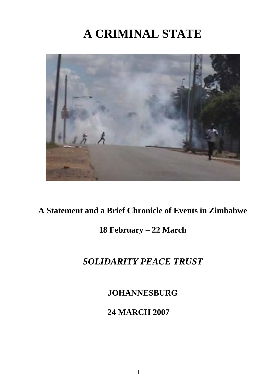# **A CRIMINAL STATE**



## **A Statement and a Brief Chronicle of Events in Zimbabwe**

## **18 February – 22 March**

# *SOLIDARITY PEACE TRUST*

**JOHANNESBURG** 

**24 MARCH 2007**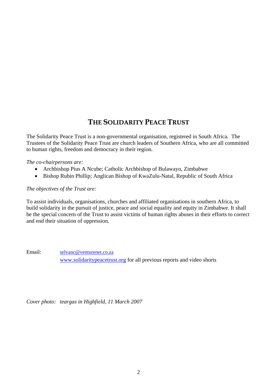### **THE SOLIDARITY PEACE TRUST**

The Solidarity Peace Trust is a non-governmental organisation, registered in South Africa. The Trustees of the Solidarity Peace Trust are church leaders of Southern Africa, who are all committed to human rights, freedom and democracy in their region.

*The co-chairpersons are:* 

- Archbishop Pius A Ncube; Catholic Archbishop of Bulawayo, Zimbabwe
- Bishop Rubin Phillip; Anglican Bishop of KwaZulu-Natal, Republic of South Africa

#### *The objectives of the Trust are:*

To assist individuals, organisations, churches and affiliated organisations in southern Africa, to build solidarity in the pursuit of justice, peace and social equality and equity in Zimbabwe. It shall be the special concern of the Trust to assist victims of human rights abuses in their efforts to correct and end their situation of oppression.

Email: [selvanc@venturenet.co.za](mailto:selvanc@venturenet.co.za) [www.solidaritypeacetrust.org](http://www.solidaritypeacetrust.org/) for all previous reports and video shorts

*Cover photo: teargas in Highfield, 11 March 2007*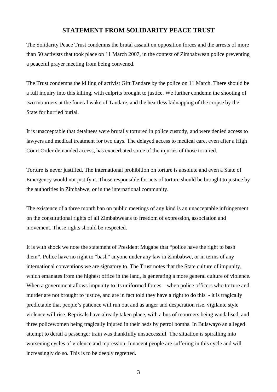#### **STATEMENT FROM SOLIDARITY PEACE TRUST**

The Solidarity Peace Trust condemns the brutal assault on opposition forces and the arrests of more than 50 activists that took place on 11 March 2007, in the context of Zimbabwean police preventing a peaceful prayer meeting from being convened.

The Trust condemns the killing of activist Gift Tandare by the police on 11 March. There should be a full inquiry into this killing, with culprits brought to justice. We further condemn the shooting of two mourners at the funeral wake of Tandare, and the heartless kidnapping of the corpse by the State for hurried burial.

It is unacceptable that detainees were brutally tortured in police custody, and were denied access to lawyers and medical treatment for two days. The delayed access to medical care, even after a High Court Order demanded access, has exacerbated some of the injuries of those tortured.

Torture is never justified. The international prohibition on torture is absolute and even a State of Emergency would not justify it. Those responsible for acts of torture should be brought to justice by the authorities in Zimbabwe, or in the international community.

The existence of a three month ban on public meetings of any kind is an unacceptable infringement on the constitutional rights of all Zimbabweans to freedom of expression, association and movement. These rights should be respected.

It is with shock we note the statement of President Mugabe that "police have the right to bash them". Police have no right to "bash" anyone under any law in Zimbabwe, or in terms of any international conventions we are signatory to. The Trust notes that the State culture of impunity, which emanates from the highest office in the land, is generating a more general culture of violence. When a government allows impunity to its uniformed forces – when police officers who torture and murder are not brought to justice, and are in fact told they have a right to do this - it is tragically predictable that people's patience will run out and as anger and desperation rise, vigilante style violence will rise. Reprisals have already taken place, with a bus of mourners being vandalised, and three policewomen being tragically injured in their beds by petrol bombs. In Bulawayo an alleged attempt to derail a passenger train was thankfully unsuccessful. The situation is spiralling into worsening cycles of violence and repression. Innocent people are suffering in this cycle and will increasingly do so. This is to be deeply regretted.

3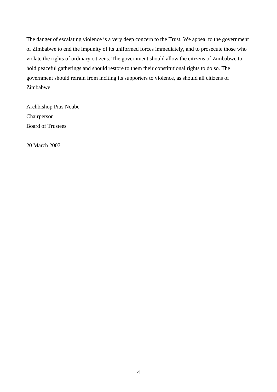The danger of escalating violence is a very deep concern to the Trust. We appeal to the government of Zimbabwe to end the impunity of its uniformed forces immediately, and to prosecute those who violate the rights of ordinary citizens. The government should allow the citizens of Zimbabwe to hold peaceful gatherings and should restore to them their constitutional rights to do so. The government should refrain from inciting its supporters to violence, as should all citizens of Zimbabwe.

Archbishop Pius Ncube Chairperson Board of Trustees

20 March 2007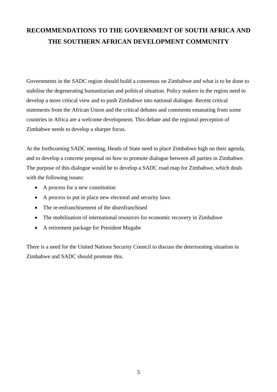## **RECOMMENDATIONS TO THE GOVERNMENT OF SOUTH AFRICA AND THE SOUTHERN AFRICAN DEVELOPMENT COMMUNITY**

Governments in the SADC region should build a consensus on Zimbabwe and what is to be done to stabilise the degenerating humanitarian and political situation. Policy makers in the region need to develop a more critical view and to push Zimbabwe into national dialogue. Recent critical statements from the African Union and the critical debates and comments emanating from some countries in Africa are a welcome development. This debate and the regional perception of Zimbabwe needs to develop a sharper focus.

At the forthcoming SADC meeting, Heads of State need to place Zimbabwe high on their agenda, and to develop a concrete proposal on how to promote dialogue between all parties in Zimbabwe. The purpose of this dialogue would be to develop a SADC road map for Zimbabwe, which deals with the following issues:

- A process for a new constitution
- A process to put in place new electoral and security laws
- The re-enfranchisement of the disenfranchised
- The mobilisation of international resources for economic recovery in Zimbabwe
- A retirement package for President Mugabe

There is a need for the United Nations Security Council to discuss the deteriorating situation in Zimbabwe and SADC should promote this.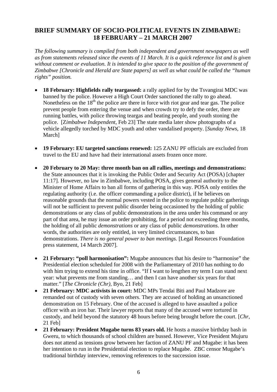### **BRIEF SUMMARY OF SOCIO-POLITICAL EVENTS IN ZIMBABWE: 18 FEBRUARY – 21 MARCH 2007**

*The following summary is compiled from both independent and government newspapers as well as from statements released since the events of 11 March. It is a quick reference list and is given*  without comment or evaluation. It is intended to give space to the position of the government of *Zimbabwe [Chronicle and Herald are State papers] as well as what could be called the "human rights" position.* 

- **18 February: Highfields rally teargassed:** a rally applied for by the Tsvangirai MDC was banned by the police. However a High Court Order sanctioned the rally to go ahead. Nonetheless on the  $18<sup>th</sup>$  the police are there in force with riot gear and tear gas. The police prevent people from entering the venue and when crowds try to defy the order, there are running battles, with police throwing teargas and beating people, and youth stoning the police. [Z*imbabwe Independent,* Feb 23] The state media later show photographs of a vehicle allegedly torched by MDC youth and other vandalised property. [*Sunday News,* 18 March]
- **19 February: EU targeted sanctions renewed:** 125 ZANU PF officials are excluded from travel to the EU and have had their international assets frozen once more.
- **20 February to 20 May: three month ban on all rallies, meetings and demonstrations:** the State announces that it is invoking the Public Order and Security Act (POSA) [chapter 11:17]. However, no law in Zimbabwe, including POSA, gives general authority to the Minister of Home Affairs to ban all forms of gathering in this way. POSA only entitles the regulating authority (i.e. the officer commanding a police district), if he believes on reasonable grounds that the normal powers vested in the police to regulate public gatherings will not be sufficient to prevent public disorder being occasioned by the holding of public demonstrations or any class of public demonstrations in the area under his command or any part of that area, he may issue an order prohibiting, for a period not exceeding three months, the holding of all public *demonstrations* or any class of public *demonstrations*. In other words, the authorities are only entitled, in very limited circumstances, to ban demonstrations. *There is no general power to ban meetings.* [Legal Resources Foundation press statement, 14 March 2007].
- **21 February: "poll harmonisation":** Mugabe announces that his desire to "harmonise" the Presidential election scheduled for 2008 with the Parliamentary of 2010 has nothing to do with him trying to extend his time in office. "If I want to lengthen my term I can stand next year: what prevents me from standing… and then I can have another six years for that matter." [*The Chronicle (Chr),* Byo, 21 Feb]
- **21 February: MDC activists in court:** MDC MPs Tendai Biti and Paul Madzore are remanded out of custody with seven others. They are accused of holding an unsanctioned demonstration on 15 February. One of the accused is alleged to have assaulted a police officer with an iron bar. Their lawyer reports that many of the accused were tortured in custody, and held beyond the statutory 48 hours before being brought before the court. [*Chr*, 21 Feb]
- **21 February: President Mugabe turns 83 years old.** He hosts a massive birthday bash in Gweru, to which thousands of school children are bussed. However, Vice President Mujuru does not attend as tensions grow between her faction of ZANU PF and Mugabe: it has been her intention to run in the Presidential election to replace Mugabe. ZBC censor Mugabe's traditional birthday interview, removing references to the succession issue.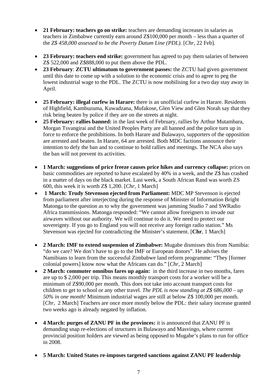- **21 February: teachers go on strike:** teachers are demanding increases in salaries as teachers in Zimbabwe currently earn around Z\$100,000 per month – less than a quarter of the *Z\$ 458,000 assessed to be the Poverty Datum Line (PDL).* [*Chr,* 22 Feb].
- **23 February: teachers end strike:** government has agreed to pay them salaries of between Z\$ 522,000 and Z\$888,000 to put them above the PDL.
- **23 February**: **ZCTU ultimatum to government passes:** the ZCTU had given government until this date to come up with a solution to the economic crisis and to agree to peg the lowest industrial wage to the PDL. The ZCTU is now mobilising for a two day stay away in April.
- **25 February: illegal curfew in Harare:** there is an unofficial curfew in Harare. Residents of Highfield, Kambuzuma, Kuwadzana, Mufakose, Glen View and Glen Norah say that they risk being beaten by police if they are on the streets at night.
- **25 February: rallies banned:** in the last week of February, rallies by Arthur Mutambara, Morgan Tsvangirai and the United Peoples Party are all banned and the police turn up in force to enforce the prohibitions. In both Harare and Bulawayo, supporters of the opposition are arrested and beaten. In Harare, 64 are arrested. Both MDC factions announce their intention to defy the ban and to continue to hold rallies and meetings. The NCA also says the ban will not prevent its activities.
- **1 March: suggestions of price freeze causes price hikes and currency collapse:** prices on basic commodities are reported to have escalated by 40% in a week, and the Z\$ has crashed in a matter of days on the black market. Last week, a South African Rand was worth ZS 600, this week it is worth Z\$ 1,200. [*Chr,* 1 March]
- **1 March: Trudy Stevenson ejected from Parliament:** MDC MP Stevenson is ejected from parliament after interjecting during the response of Minister of Information Bright Matonga to the question as to why the government was jamming Studio 7 and SWRadio Africa transmissions. Matonga responded: "We cannot allow foreigners to invade our airwaves without our authority. We will continue to do it. We need to protect our sovereignty. If you go to England you will not receive any foreign radio station." Ms Stevenson was ejected for contradicting the Minister's statement. [**Chr**, 1 March]
- **2 March: IMF to extend suspension of Zimbabwe:** Mugabe dismisses this from Namibia: "do we care? We don't have to go to the IMF or European donors". He advises the Namibians to learn from the successful Zimbabwe land reform programme: "They [former colonial powers] know now what the Africans can do." [*Chr,* 2 March]
- **2 March: commuter omnibus fares up again:** in the third increase in two months, fares are up to \$ 2,000 per trip. This means monthly transport costs for a worker will be a minimum of Z\$90,000 per month. This does not take into account transport costs for children to get to school or any other travel. *The PDL is now standing at Z\$ 686,000 – up 50% in one month!* Minimum industrial wages are still at below Z\$ 100,000 per month. [*Chr,* 2 March] Teachers are once more mostly below the PDL: their salary increase granted two weeks ago is already negated by inflation.
- **4 March: purges of ZANU PF in the provinces:** it is announced that ZANU PF is demanding snap re-elections of structures in Bulawayo and Masvingo, where current provincial position holders are viewed as being opposed to Mugabe's plans to run for office in 2008.
- **5 March: United States re-imposes targeted sanctions against ZANU PF leadership**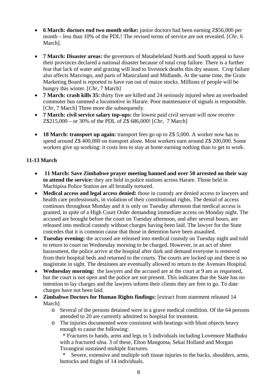- **6 March: doctors end two month strike:** junior doctors had been earning Z\$56,000 per month – less than 10% of the PDL! The revised terms of service are not revealed. [*Chr,* 6 March].
- **7 March: Disaster areas:** the governors of Matabeleland North and South appeal to have their provinces declared a national disaster because of total crop failure. There is a further fear that lack of water and grazing will lead to livestock deaths this dry season. Crop failure also affects Masvingo, and parts of Manicaland and Midlands. At the same time, the Grain Marketing Board is reported to have run out of maize stocks. Millions of people will be hungry this winter. [*Chr,* 7 March]
- **7 March: crash kills 35:** thirty five are killed and 24 seriously injured when an overloaded commuter bus rammed a locomotive in Harare. Poor maintenance of signals is responsible. [*Chr,* 7 March] Three more die subsequently.
- **7 March: civil service salary top-ups:** the lowest paid civil servant will now receive Z\$215,000 – or 30% of the PDL of Z\$ 686,000! [*Chr,* 7 March]
- **18 March: transport up again:** transport fees go up to Z\$ 5,000. A worker now has to spend around Z\$ 400,000 on transport alone. Most workers earn around Z\$ 200,000. Some workers give up working: it costs less to stay at home earning nothing than to get to work.

#### **11-13 March**

- **11 March: Save Zimbabwe prayer meeting banned and over 50 arrested on their way to attend the service:** they are held in police stations across Harare. Those held in Machipisa Police Station are all brutally tortured.
- **Medical access and legal access denied:** those in custody are denied access to lawyers and health care professionals, in violation of their constitutional rights. The denial of access continues throughout Monday and it is only on Tuesday afternoon that medical access is granted, in spite of a High Court Order demanding immediate access on Monday night. The accused are brought before the court on Tuesday afternoon, and after several hours, are released into medical custody without charges having been laid. The lawyer for the State concedes that it is common cause that those in detention have been assaulted.
- **Tuesday evening:** the accused are released into medical custody on Tuesday night and told to return to court on Wednesday morning to be charged. However, in an act of sheer harassment, the police arrive at the hospital after dark and demand everyone is removed from their hospital beds and returned to the courts. The courts are locked up and there is no magistrate in sight. The detainees are eventually allowed to return to the Avenues Hospital.
- **Wednesday morning:** the lawyers and the accused are at the court at 9 am as requested, but the court is not open and the police are not present. This indicates that the State has no intention to lay charges and the lawyers inform their clients they are free to go. To date charges have not been laid.
- **Zimbabwe Doctors for Human Rights findings:** [extract from statement released 14 March]
	- o Several of the persons detained were in a grave medical condition. Of the 64 persons attended to 20 are currently admitted to hospital for treatment.
	- o The injuries documented were consistent with beatings with blunt objects heavy enough to cause the following:

 \* Fractures to hands, arms and legs in 5 individuals including Lovemore Madhuku with a fractured ulna. 3 of these, Elton Mangoma, Sekai Holland and Morgan Tsvangirai sustained multiple fractures.

Severe, extensive and multiple soft tissue injuries to the backs, shoulders, arms, buttocks and thighs of 14 individuals.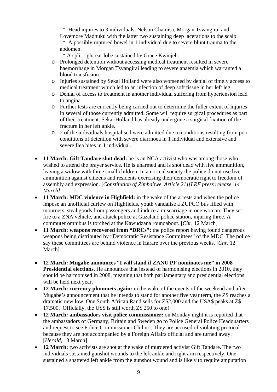\* Head injuries to 3 individuals, Nelson Chamisa, Morgan Tsvangirai and Lovemore Madhuku with the latter two sustaining deep lacerations to the scalp. \* A possibly ruptured bowel in 1 individual due to severe blunt trauma to the abdomen.

\* A split right ear lobe sustained by Grace Kwinjeh.

- o Prolonged detention without accessing medical treatment resulted in severe haemorrhage in Morgan Tsvangirai leading to severe anaemia which warranted a blood transfusion.
- o Injuries sustained by Sekai Holland were also worsened by denial of timely access to medical treatment which led to an infection of deep soft tissue in her left leg.
- o Denial of access to treatment in another individual suffering from hypertension lead to angina.
- o Further tests are currently being carried out to determine the fuller extent of injuries in several of those currently admitted. Some will require surgical procedures as part of their treatment. Sekai Holland has already undergone a surgical fixation of the fracture in her left ankle.
- o 2 of the individuals hospitalised were admitted due to conditions resulting from poor conditions of detention with severe diarrhoea in 1 individual and extensive and severe flea bites in 1 individual.
- **11 March: Gift Tandare shot dead:** he is an NCA activist who was among those who wished to attend the prayer service. He is unarmed and is shot dead with live ammunition, leaving a widow with three small children. In a normal society the police do not use live ammunition against citizens and residents exercising their democratic right to freedom of assembly and expression. [*Constitution of Zimbabwe, Article 21][LRF press release, 14 March].*
- **11 March: MDC violence in Highfield:** in the wake of the arrests and when the police impose an unofficial curfew on Highfields, youth vandalise a ZUPCO bus filled with mourners, steal goods from passengers and induce a miscarriage in one woman. They set fire to a ZNA vehicle, and attack police at Gazaland police station, injuring three. A commuter omnibus is torched at the Kawudzana roundabout. [*Chr,* 12 March]
- **11 March: weapons recovered from "DRCs":** the police report having found dangerous weapons being distributed by "Democratic Resistance Committees" of the MDC. The police say these committees are behind violence in Harare over the previous weeks. [*Chr,* 12 **March**<sub>1</sub>
- **12 March: Mugabe announces "I will stand if ZANU PF nominates me" in 2008 Presidential elections.** He announces that instead of harmonising elections in 2010, they should be harmonised in 2008, meaning that both parliamentary and presidential elections will be held next year.
- **12 March: currency plummets again:** in the wake of the events of the weekend and after Mugabe's announcement that he intends to stand for another five year term, the Z\$ reaches a dramatic new low. One South African Rand sells for Z\$2,000 and the USA\$ peaks at Z\$ 17,500. Officially, the US\$ is still worth Z\$ 250 to one!
- **12 March: ambassadors visit police commissioner:** on Monday night it is reported that the ambassadors of Germany, Britain and Sweden go to Police General Police Headquarters and request to see Police Commissioner Chihuri. They are accused of violating protocol because they are not accompanied by a Foreign Affairs official and are turned away. [*Herald,* 13 March]
- **12 March:** two activists are shot at the wake of murdered activist Gift Tandare. The two individuals sustained gunshot wounds to the left ankle and right arm respectively. One sustained a shattered left ankle from the gunshot wound and is likely to require amputation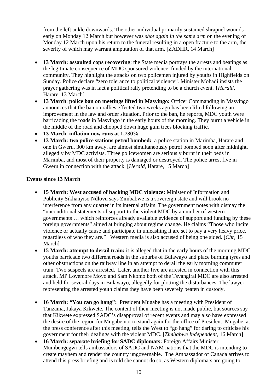from the left ankle downwards. The other individual primarily sustained shrapnel wounds early on Monday 12 March but however was *shot again in the same arm* on the evening of Monday 12 March upon his return to the funeral resulting in a open fracture to the arm, the severity of which may warrant amputation of that arm. [ZADHR, 14 March]

- **13 March: assaulted cops recovering**: the State media portrays the arrests and beatings as the legitimate consequence of MDC sponsored violence, funded by the international community. They highlight the attacks on two policemen injured by youths in Highfields on Sunday. Police declare "zero tolerance to political violence". Minister Mohadi insists the prayer gathering was in fact a political rally pretending to be a church event. {*Herald,*  Harare, 13 March]
- **13 March**: **police ban on meetings lifted in Masvingo:** Officer Commanding in Masvingo announces that the ban on rallies effected two weeks ago has been lifted following an improvement in the law and order situation. Prior to the ban, he reports, MDC youth were barricading the roads in Masvingo in the early hours of the morning. They burnt a vehicle in the middle of the road and chopped down huge gum trees blocking traffic.
- **13 March**: **inflation now runs at 1,730%**
- **13 March: two police stations petrol bombed:** a police station in Marimba, Harare and one in Gweru, 300 km away, are almost simultaneously petrol bombed soon after midnight, allegedly by MDC activists. Three policewomen are seriously burnt in their beds in Marimba, and most of their property is damaged or destroyed. The police arrest five in Gweru in connection with the attack. [*Herald,* Harare, 15 March]

#### **Events since 13 March**

- **15 March: West accused of backing MDC violence:** Minister of Information and Publicity Sikhanyiso Ndlovu says Zimbabwe is a sovereign state and will brook no interference from any quarter in its internal affairs. The government notes with dismay the "unconditional statements of support to the violent MDC by a number of western governments … which reinforces already available evidence of support and funding by these foreign governments" aimed at bringing about regime change. He claims "Those who incite violence or actually cause and participate in unleashing it are set to pay a very heavy price, regardless of who they are." Western media is also accused of being one sided. [*Chr,* 15 March]
- **15 March: attempt to derail train:** it is alleged that in the early hours of the morning MDC youths barricade two different roads in the suburbs of Bulawayo and place burning tyres and other obstructions on the railway line in an attempt to derail the early morning commuter train. Two suspects are arrested. Later, another five are arrested in connection with this attack. MP Lovemore Moyo and Sam Nkomo both of the Tsvangirai MDC are also arrested and held for several days in Bulawayo, allegedly for plotting the disturbances. The lawyer representing the arrested youth claims they have been severely beaten in custody.
- **16 March: "You can go hang":** President Mugabe has a meeting with President of Tanzania, Jakaya Kikwete. The content of their meeting is not made public, but sources say that Kikwete expressed SADC's disapproval of recent events and may also have expressed the desire of the region for Mugabe not to stand again for the office of President. Mugabe, at the press conference after this meeting, tells the West to "go hang" for daring to criticise his government for their dealings with the violent MDC. [*Zimbabwe Independent,* 16 March]
- **16 March: separate briefing for SADC diplomats:** Foreign Affairs Minister Mumbengegwi tells ambassadors of SADC and NAM nations that the MDC is intending to create mayhem and render the country ungovernable. The Ambassador of Canada arrives to attend this press briefing and is told she cannot do so, as Western diplomats are going to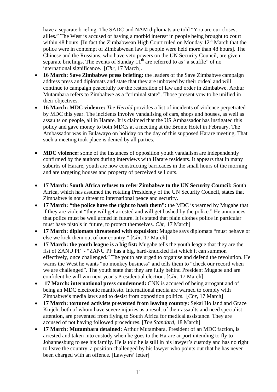have a separate briefing. The SADC and NAM diplomats are told "You are our closest allies." The West is accused of having a morbid interest in people being brought to court within 48 hours. [In fact the Zimbabwean High Court ruled on Monday  $12<sup>th</sup>$  March that the police were in contempt of Zimbabwean law if people were held more than 48 hours]. The Chinese and the Russians, who have veto powers on the UN Security Council, are given separate briefings. The events of Sunday  $11<sup>th</sup>$  are referred to as "a scuffle" of no international significance. [*Chr*, 17 March].

- **16 March: Save Zimbabwe press briefing:** the leaders of the Save Zimbabwe campaign address press and diplomats and state that they are unbowed by their ordeal and will continue to campaign peacefully for the restoration of law and order in Zimbabwe. Arthur Mutambara refers to Zimbabwe as a "criminal state". Those present vow to be unified in their objectives.
- **16 March: MDC violence:** *The Herald* provides a list of incidents of violence perpetrated by MDC this year. The incidents involve vandalising of cars, shops and houses, as well as assaults on people, all in Harare. It is claimed that the US Ambassador has instigated this policy and gave money to both MDCs at a meeting at the Bronte Hotel in February. The Ambassador was in Bulawayo on holiday on the day of this supposed Harare meeting. That such a meeting took place is denied by all parties.
- **MDC violence:** some of the instances of opposition youth vandalism are independently confirmed by the authors during interviews with Harare residents. It appears that in many suburbs of Harare, youth are now constructing barricades in the small hours of the morning and are targeting houses and property of perceived sell outs.
- **17 March: South Africa refuses to refer Zimbabwe to the UN Security Council:** South Africa, which has assumed the rotating Presidency of the UN Security Council, states that Zimbabwe is not a threat to international peace and security.
- **17 March: "the police have the right to bash them":** the MDC is warned by Mugabe that if they are violent "they will get arrested and will get bashed by the police." He announces that police must be well armed in future. It is stated that plain clothes police in particular must have pistols in future, to protect themselves. *Chr,* 17 March]
- **17 March: diplomats threatened with expulsion:** Mugabe says diplomats "must behave or else we kick them out of our country." [*Chr*, 17 March]
- **17 March: the youth league is a big fist:** Mugabe tells the youth league that they are the fist of ZANU PF - "ZANU PF has a big, hard-knuckled fist which it can summon effectively, once challenged." The youth are urged to organise and defend the revolution. He warns the West he wants "no monkey business" and tells them to "check our record when we are challenged". The youth state that they are fully behind President Mugabe and are confident he will win next year's Presidential election. [*Chr,* 17 March]
- **17 March: international press condemned:** CNN is accused of being arrogant and of being an MDC electronic manifesto. International media are warned to comply with Zimbabwe's media laws and to desist from opposition politics. [*Chr,* 17 March]
- **17 March: tortured activists prevented from leaving country:** Sekai Holland and Grace Kinjeh, both of whom have severe injuries as a result of their assaults and need specialist attention, are prevented from flying to South Africa for medical assistance. They are accused of not having followed procedures. [*The Standard,* 18 March]
- **17 March: Mutambara detained:** Arthur Mutambara, President of an MDC faction, is arrested and taken into custody when he goes to the Harare airport intending to fly to Johannesburg to see his family. He is told he is still in his lawyer's custody and has no right to leave the country, a position challenged by his lawyer who points out that he has never been charged with an offence. [Lawyers' letter]